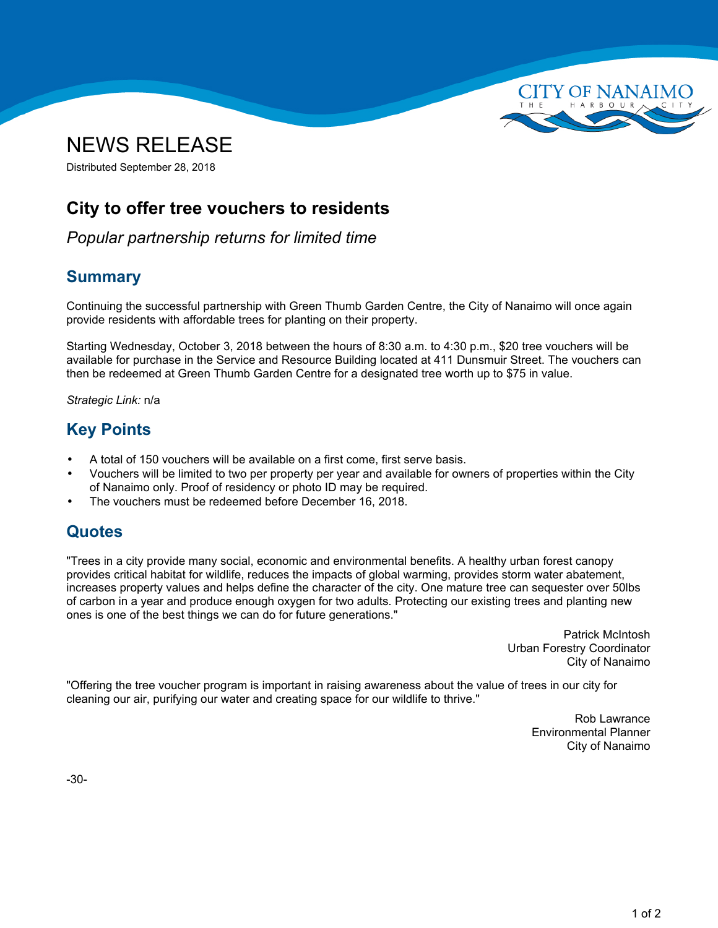



# **City to offer tree vouchers to residents**

*Popular partnership returns for limited time*

## **Summary**

Continuing the successful partnership with Green Thumb Garden Centre, the City of Nanaimo will once again provide residents with affordable trees for planting on their property.

Starting Wednesday, October 3, 2018 between the hours of 8:30 a.m. to 4:30 p.m., \$20 tree vouchers will be available for purchase in the Service and Resource Building located at 411 Dunsmuir Street. The vouchers can then be redeemed at Green Thumb Garden Centre for <sup>a</sup> designated tree worth up to \$75 in value.

*Strategic Link:* n/a

# **Key Points**

- •A total of 150 vouchers will be available on <sup>a</sup> first come, first serve basis.
- • Vouchers will be limited to two per property per year and available for owners of properties within the City of Nanaimo only. Proof of residency or photo ID may be required.
- •The vouchers must be redeemed before December 16, 2018.

### **Quotes**

"Trees in <sup>a</sup> city provide many social, economic and environmental benefits. A healthy urban forest canopy provides critical habitat for wildlife, reduces the impacts of global warming, provides storm water abatement, increases property values and helps define the character of the city. One mature tree can sequester over 50lbs of carbon in <sup>a</sup> year and produce enough oxygen for two adults. Protecting our existing trees and planting new ones is one of the best things we can do for future generations."

> Patrick McIntosh Urban Forestry Coordinator City of Nanaimo

"Offering the tree voucher program is important in raising awareness about the value of trees in our city for cleaning our air, purifying our water and creating space for our wildlife to thrive."

> Rob Lawrance Environmental Planner City of Nanaimo

-30-